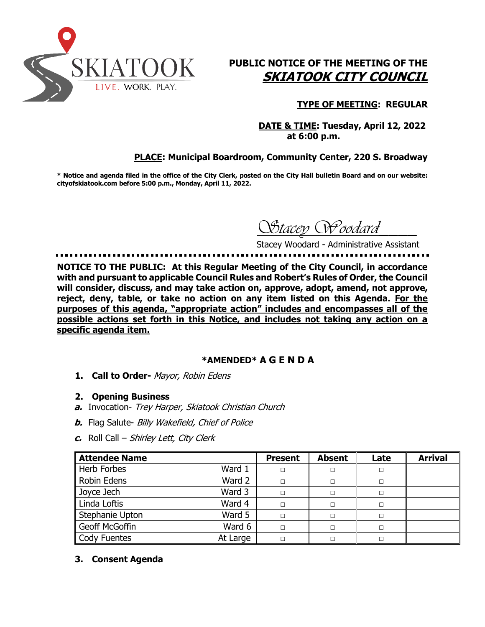

# **PUBLIC NOTICE OF THE MEETING OF THE SKIATOOK CITY COUNCIL**

## **TYPE OF MEETING: REGULAR**

 **DATE & TIME: Tuesday, April 12, 2022 at 6:00 p.m.**

## **PLACE: Municipal Boardroom, Community Center, 220 S. Broadway**

**\* Notice and agenda filed in the office of the City Clerk, posted on the City Hall bulletin Board and on our website: cityofskiatook.com before 5:00 p.m., Monday, April 11, 2022.**

*Stacey Woodard\_\_\_\_*

Stacey Woodard - Administrative Assistant

**NOTICE TO THE PUBLIC: At this Regular Meeting of the City Council, in accordance with and pursuant to applicable Council Rules and Robert's Rules of Order, the Council will consider, discuss, and may take action on, approve, adopt, amend, not approve, reject, deny, table, or take no action on any item listed on this Agenda. For the purposes of this agenda, "appropriate action" includes and encompasses all of the possible actions set forth in this Notice, and includes not taking any action on a specific agenda item.**

#### **\*AMENDED\* A G E N D A**

- **1. Call to Order-** Mayor, Robin Edens
- **2. Opening Business**
- **a.** Invocation- Trey Harper, Skiatook Christian Church
- **b.** Flag Salute- Billy Wakefield, Chief of Police
- **c.** Roll Call Shirley Lett, City Clerk

| <b>Attendee Name</b> |          | <b>Present</b> | <b>Absent</b> | Late   | <b>Arrival</b> |
|----------------------|----------|----------------|---------------|--------|----------------|
| Herb Forbes          | Ward 1   | $\Box$         | □             | $\Box$ |                |
| <b>Robin Edens</b>   | Ward 2   | $\Box$         | П             | П      |                |
| Joyce Jech           | Ward 3   | $\Box$         | П             | П      |                |
| Linda Loftis         | Ward 4   | $\Box$         | п             | П      |                |
| Stephanie Upton      | Ward 5   | $\Box$         | $\Box$        | $\Box$ |                |
| Geoff McGoffin       | Ward 6   | $\Box$         | П             | П      |                |
| Cody Fuentes         | At Large | □              | П             |        |                |

#### **3. Consent Agenda**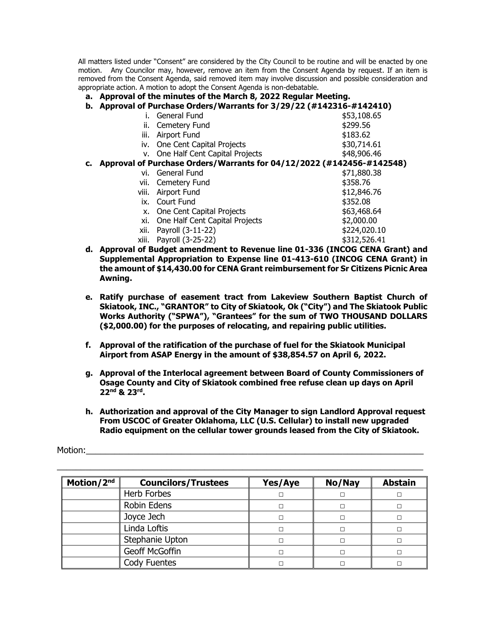All matters listed under "Consent" are considered by the City Council to be routine and will be enacted by one motion. Any Councilor may, however, remove an item from the Consent Agenda by request. If an item is removed from the Consent Agenda, said removed item may involve discussion and possible consideration and appropriate action. A motion to adopt the Consent Agenda is non-debatable.

#### **a. Approval of the minutes of the March 8, 2022 Regular Meeting.**

#### **b. Approval of Purchase Orders/Warrants for 3/29/22 (#142316-#142410)**

|    |       | General Fund                                                          | \$53,108.65  |
|----|-------|-----------------------------------------------------------------------|--------------|
|    | н.    | Cemetery Fund                                                         | \$299.56     |
|    | ш.    | Airport Fund                                                          | \$183.62     |
|    |       | iv. One Cent Capital Projects                                         | \$30,714.61  |
|    |       | v. One Half Cent Capital Projects                                     | \$48,906.46  |
| c. |       | Approval of Purchase Orders/Warrants for 04/12/2022 (#142456-#142548) |              |
|    | vi.   | General Fund                                                          | \$71,880.38  |
|    | vii.  | Cemetery Fund                                                         | \$358.76     |
|    | viii. | Airport Fund                                                          | \$12,846.76  |
|    | ix.   | Court Fund                                                            | \$352.08     |
|    | x.    | One Cent Capital Projects                                             | \$63,468.64  |
|    | xi.   | One Half Cent Capital Projects                                        | \$2,000.00   |
|    | xii.  | Payroll (3-11-22)                                                     | \$224,020.10 |
|    | xiii. | Payroll (3-25-22)                                                     | \$312,526.41 |
|    |       |                                                                       |              |

- **d. Approval of Budget amendment to Revenue line 01-336 (INCOG CENA Grant) and Supplemental Appropriation to Expense line 01-413-610 (INCOG CENA Grant) in the amount of \$14,430.00 for CENA Grant reimbursement for Sr Citizens Picnic Area Awning.**
- **e. Ratify purchase of easement tract from Lakeview Southern Baptist Church of Skiatook, INC., "GRANTOR" to City of Skiatook, Ok ("City") and The Skiatook Public Works Authority ("SPWA"), "Grantees" for the sum of TWO THOUSAND DOLLARS (\$2,000.00) for the purposes of relocating, and repairing public utilities.**
- **f. Approval of the ratification of the purchase of fuel for the Skiatook Municipal Airport from ASAP Energy in the amount of \$38,854.57 on April 6, 2022.**
- **g. Approval of the Interlocal agreement between Board of County Commissioners of Osage County and City of Skiatook combined free refuse clean up days on April 22nd & 23rd .**
- **h. Authorization and approval of the City Manager to sign Landlord Approval request From USCOC of Greater Oklahoma, LLC (U.S. Cellular) to install new upgraded Radio equipment on the cellular tower grounds leased from the City of Skiatook.**

Motion:

| Motion/2nd | <b>Councilors/Trustees</b> | Yes/Aye | No/Nay | <b>Abstain</b> |
|------------|----------------------------|---------|--------|----------------|
|            | Herb Forbes                |         |        |                |
|            | Robin Edens                |         |        |                |
|            | Joyce Jech                 |         |        |                |
|            | Linda Loftis               |         |        |                |
|            | Stephanie Upton            |         |        |                |
|            | Geoff McGoffin             |         |        |                |
|            | Cody Fuentes               |         |        |                |

\_\_\_\_\_\_\_\_\_\_\_\_\_\_\_\_\_\_\_\_\_\_\_\_\_\_\_\_\_\_\_\_\_\_\_\_\_\_\_\_\_\_\_\_\_\_\_\_\_\_\_\_\_\_\_\_\_\_\_\_\_\_\_\_\_\_\_\_\_\_\_\_\_\_\_\_\_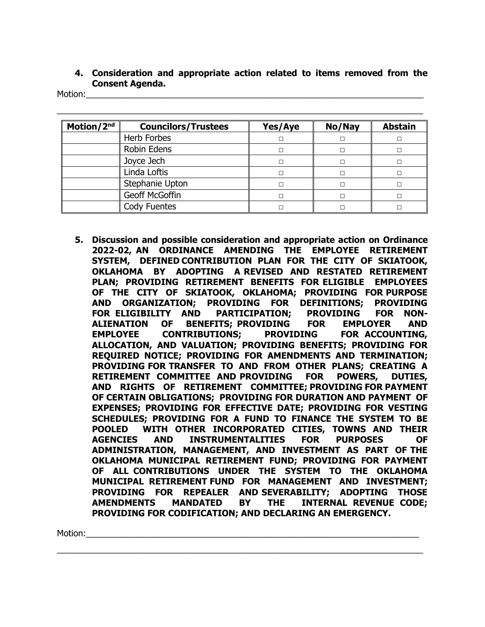## **4. Consideration and appropriate action related to items removed from the Consent Agenda.**

Motion:\_\_\_\_\_\_\_\_\_\_\_\_\_\_\_\_\_\_\_\_\_\_\_\_\_\_\_\_\_\_\_\_\_\_\_\_\_\_\_\_\_\_\_\_\_\_\_\_\_\_\_\_\_\_\_\_\_\_\_\_\_\_\_\_\_\_\_\_\_\_\_

| Motion/2 <sup>nd</sup> | <b>Councilors/Trustees</b> | Yes/Aye | No/Nay | <b>Abstain</b> |
|------------------------|----------------------------|---------|--------|----------------|
|                        | Herb Forbes                |         |        |                |
|                        | Robin Edens                |         |        |                |
|                        | Joyce Jech                 |         |        |                |
|                        | Linda Loftis               |         |        |                |
|                        | Stephanie Upton            |         |        |                |
|                        | Geoff McGoffin             |         |        |                |
|                        | Cody Fuentes               |         |        |                |

\_\_\_\_\_\_\_\_\_\_\_\_\_\_\_\_\_\_\_\_\_\_\_\_\_\_\_\_\_\_\_\_\_\_\_\_\_\_\_\_\_\_\_\_\_\_\_\_\_\_\_\_\_\_\_\_\_\_\_\_\_\_\_\_\_\_\_\_\_\_\_\_\_\_\_\_\_

**5. Discussion and possible consideration and appropriate action on Ordinance 2022-02, AN ORDINANCE AMENDING THE EMPLOYEE RETIREMENT SYSTEM, DEFINED CONTRIBUTION PLAN FOR THE CITY OF SKIATOOK, OKLAHOMA BY ADOPTING A REVISED AND RESTATED RETIREMENT PLAN; PROVIDING RETIREMENT BENEFITS FOR ELIGIBLE EMPLOYEES OF THE CITY OF SKIATOOK, OKLAHOMA; PROVIDING FOR PURPOSE AND ORGANIZATION; PROVIDING FOR DEFINITIONS; PROVIDING FOR ELIGIBILITY AND PARTICIPATION; PROVIDING FOR NON-ALIENATION OF BENEFITS; PROVIDING FOR EMPLOYER AND EMPLOYEE CONTRIBUTIONS; PROVIDING FOR ACCOUNTING, ALLOCATION, AND VALUATION; PROVIDING BENEFITS; PROVIDING FOR REQUIRED NOTICE; PROVIDING FOR AMENDMENTS AND TERMINATION; PROVIDING FOR TRANSFER TO AND FROM OTHER PLANS; CREATING A RETIREMENT COMMITTEE AND PROVIDING FOR POWERS, DUTIES, AND RIGHTS OF RETIREMENT COMMITTEE; PROVIDING FOR PAYMENT OF CERTAIN OBLIGATIONS; PROVIDING FOR DURATION AND PAYMENT OF EXPENSES; PROVIDING FOR EFFECTIVE DATE; PROVIDING FOR VESTING SCHEDULES; PROVIDING FOR A FUND TO FINANCE THE SYSTEM TO BE POOLED WITH OTHER INCORPORATED CITIES, TOWNS AND THEIR AGENCIES AND INSTRUMENTALITIES FOR PURPOSES OF ADMINISTRATION, MANAGEMENT, AND INVESTMENT AS PART OF THE OKLAHOMA MUNICIPAL RETIREMENT FUND; PROVIDING FOR PAYMENT OF ALL CONTRIBUTIONS UNDER THE SYSTEM TO THE OKLAHOMA MUNICIPAL RETIREMENT FUND FOR MANAGEMENT AND INVESTMENT; PROVIDING FOR REPEALER AND SEVERABILITY; ADOPTING THOSE AMENDMENTS MANDATED BY THE INTERNAL REVENUE CODE; PROVIDING FOR CODIFICATION; AND DECLARING AN EMERGENCY.**

\_\_\_\_\_\_\_\_\_\_\_\_\_\_\_\_\_\_\_\_\_\_\_\_\_\_\_\_\_\_\_\_\_\_\_\_\_\_\_\_\_\_\_\_\_\_\_\_\_\_\_\_\_\_\_\_\_\_\_\_\_\_\_\_\_\_\_\_\_\_\_\_\_\_\_\_\_

Motion:\_\_\_\_\_\_\_\_\_\_\_\_\_\_\_\_\_\_\_\_\_\_\_\_\_\_\_\_\_\_\_\_\_\_\_\_\_\_\_\_\_\_\_\_\_\_\_\_\_\_\_\_\_\_\_\_\_\_\_\_\_\_\_\_\_\_\_\_\_\_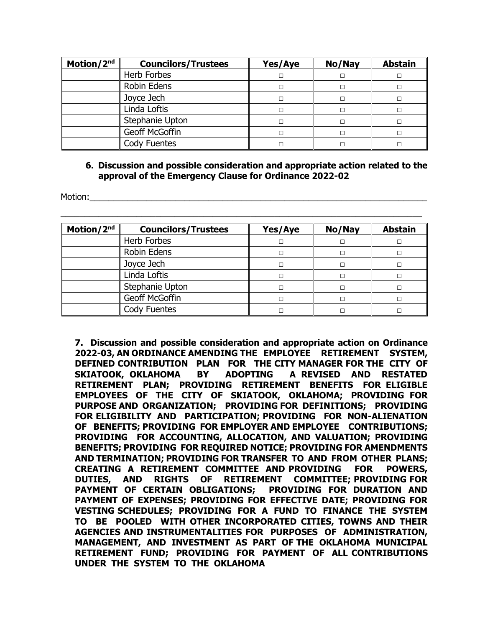| Motion/2nd | <b>Councilors/Trustees</b> | Yes/Aye | No/Nay | <b>Abstain</b> |
|------------|----------------------------|---------|--------|----------------|
|            | Herb Forbes                |         |        |                |
|            | Robin Edens                |         |        |                |
|            | Joyce Jech                 |         | П      |                |
|            | Linda Loftis               |         | п      |                |
|            | Stephanie Upton            |         |        |                |
|            | Geoff McGoffin             |         |        |                |
|            | Cody Fuentes               |         |        |                |

#### **6. Discussion and possible consideration and appropriate action related to the approval of the Emergency Clause for Ordinance 2022-02**

Motion:

| Motion/2nd | <b>Councilors/Trustees</b> | Yes/Aye | No/Nay | <b>Abstain</b> |
|------------|----------------------------|---------|--------|----------------|
|            | Herb Forbes                |         |        |                |
|            | <b>Robin Edens</b>         |         |        |                |
|            | Joyce Jech                 |         |        |                |
|            | Linda Loftis               |         | п      |                |
|            | Stephanie Upton            |         |        |                |
|            | Geoff McGoffin             |         |        |                |
|            | Cody Fuentes               |         |        |                |

\_\_\_\_\_\_\_\_\_\_\_\_\_\_\_\_\_\_\_\_\_\_\_\_\_\_\_\_\_\_\_\_\_\_\_\_\_\_\_\_\_\_\_\_\_\_\_\_\_\_\_\_\_\_\_\_\_\_\_\_\_\_\_\_\_\_\_\_\_\_\_\_\_\_\_\_

**7. Discussion and possible consideration and appropriate action on Ordinance 2022-03, AN ORDINANCE AMENDING THE EMPLOYEE RETIREMENT SYSTEM, DEFINED CONTRIBUTION PLAN FOR THE CITY MANAGER FOR THE CITY OF SKIATOOK, OKLAHOMA BY ADOPTING A REVISED AND RESTATED RETIREMENT PLAN; PROVIDING RETIREMENT BENEFITS FOR ELIGIBLE EMPLOYEES OF THE CITY OF SKIATOOK, OKLAHOMA; PROVIDING FOR PURPOSE AND ORGANIZATION; PROVIDING FOR DEFINITIONS; PROVIDING FOR ELIGIBILITY AND PARTICIPATION; PROVIDING FOR NON-ALIENATION OF BENEFITS; PROVIDING FOR EMPLOYER AND EMPLOYEE CONTRIBUTIONS; PROVIDING FOR ACCOUNTING, ALLOCATION, AND VALUATION; PROVIDING BENEFITS; PROVIDING FOR REQUIRED NOTICE; PROVIDING FOR AMENDMENTS AND TERMINATION; PROVIDING FOR TRANSFER TO AND FROM OTHER PLANS; CREATING A RETIREMENT COMMITTEE AND PROVIDING FOR POWERS, DUTIES, AND RIGHTS OF RETIREMENT COMMITTEE; PROVIDING FOR PAYMENT OF CERTAIN OBLIGATIONS; PROVIDING FOR DURATION AND PAYMENT OF EXPENSES; PROVIDING FOR EFFECTIVE DATE; PROVIDING FOR VESTING SCHEDULES; PROVIDING FOR A FUND TO FINANCE THE SYSTEM TO BE POOLED WITH OTHER INCORPORATED CITIES, TOWNS AND THEIR AGENCIES AND INSTRUMENTALITIES FOR PURPOSES OF ADMINISTRATION, MANAGEMENT, AND INVESTMENT AS PART OF THE OKLAHOMA MUNICIPAL RETIREMENT FUND; PROVIDING FOR PAYMENT OF ALL CONTRIBUTIONS UNDER THE SYSTEM TO THE OKLAHOMA**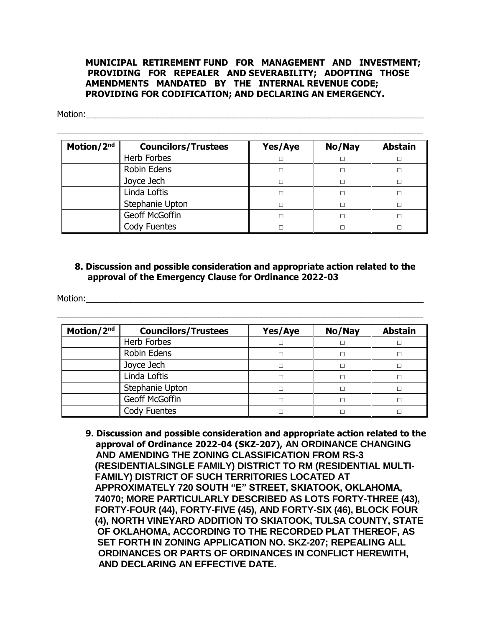#### **MUNICIPAL RETIREMENT FUND FOR MANAGEMENT AND INVESTMENT; PROVIDING FOR REPEALER AND SEVERABILITY; ADOPTING THOSE AMENDMENTS MANDATED BY THE INTERNAL REVENUE CODE; PROVIDING FOR CODIFICATION; AND DECLARING AN EMERGENCY.**

Motion:\_\_\_\_\_\_\_\_\_\_\_\_\_\_\_\_\_\_\_\_\_\_\_\_\_\_\_\_\_\_\_\_\_\_\_\_\_\_\_\_\_\_\_\_\_\_\_\_\_\_\_\_\_\_\_\_\_\_\_\_\_\_\_\_\_\_\_\_\_\_\_

| Motion/2nd | <b>Councilors/Trustees</b> | Yes/Aye | No/Nay | <b>Abstain</b> |
|------------|----------------------------|---------|--------|----------------|
|            | <b>Herb Forbes</b>         |         |        |                |
|            | Robin Edens                |         |        |                |
|            | Joyce Jech                 |         |        |                |
|            | Linda Loftis               |         |        |                |
|            | Stephanie Upton            |         |        |                |
|            | Geoff McGoffin             |         |        |                |
|            | Cody Fuentes               |         |        |                |

 $\_$  , and the set of the set of the set of the set of the set of the set of the set of the set of the set of the set of the set of the set of the set of the set of the set of the set of the set of the set of the set of th

## **8. Discussion and possible consideration and appropriate action related to the approval of the Emergency Clause for Ordinance 2022-03**

\_\_\_\_\_\_\_\_\_\_\_\_\_\_\_\_\_\_\_\_\_\_\_\_\_\_\_\_\_\_\_\_\_\_\_\_\_\_\_\_\_\_\_\_\_\_\_\_\_\_\_\_\_\_\_\_\_\_\_\_\_\_\_\_\_\_\_\_\_\_\_\_\_\_\_\_\_

Motion:\_\_\_\_\_\_\_\_\_\_\_\_\_\_\_\_\_\_\_\_\_\_\_\_\_\_\_\_\_\_\_\_\_\_\_\_\_\_\_\_\_\_\_\_\_\_\_\_\_\_\_\_\_\_\_\_\_\_\_\_\_\_\_\_\_\_\_\_\_\_\_

| Motion/2 <sup>nd</sup> | <b>Councilors/Trustees</b> | Yes/Aye | No/Nay | <b>Abstain</b> |
|------------------------|----------------------------|---------|--------|----------------|
|                        | Herb Forbes                |         |        |                |
|                        | Robin Edens                |         | П      |                |
|                        | Joyce Jech                 |         |        |                |
|                        | Linda Loftis               |         | п      |                |
|                        | Stephanie Upton            |         | п      |                |
|                        | Geoff McGoffin             |         | п      |                |
|                        | Cody Fuentes               |         |        |                |

**9. Discussion and possible consideration and appropriate action related to the approval of Ordinance 2022-04 (SKZ-207), AN ORDINANCE CHANGING AND AMENDING THE ZONING CLASSIFICATION FROM RS-3 (RESIDENTIALSINGLE FAMILY) DISTRICT TO RM (RESIDENTIAL MULTI- FAMILY) DISTRICT OF SUCH TERRITORIES LOCATED AT APPROXIMATELY 720 SOUTH "E" STREET, SKIATOOK, OKLAHOMA, 74070; MORE PARTICULARLY DESCRIBED AS LOTS FORTY-THREE (43), FORTY-FOUR (44), FORTY-FIVE (45), AND FORTY-SIX (46), BLOCK FOUR (4), NORTH VINEYARD ADDITION TO SKIATOOK, TULSA COUNTY, STATE OF OKLAHOMA, ACCORDING TO THE RECORDED PLAT THEREOF, AS SET FORTH IN ZONING APPLICATION NO. SKZ-207; REPEALING ALL ORDINANCES OR PARTS OF ORDINANCES IN CONFLICT HEREWITH, AND DECLARING AN EFFECTIVE DATE.**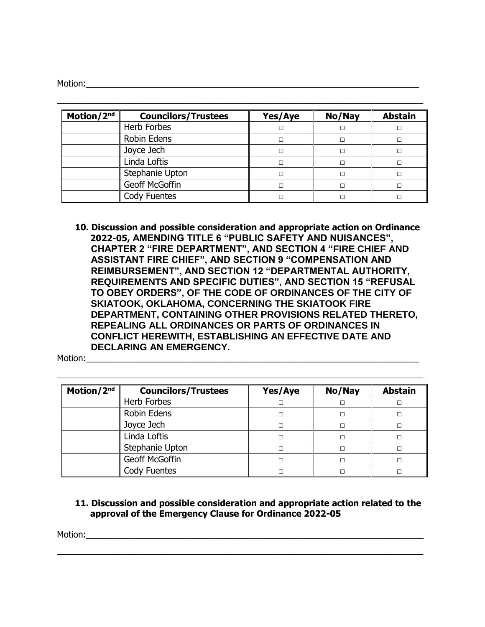Motion:

| Motion/2nd | <b>Councilors/Trustees</b> | Yes/Aye | No/Nay | <b>Abstain</b> |
|------------|----------------------------|---------|--------|----------------|
|            | Herb Forbes                |         | П      |                |
|            | Robin Edens                |         | П      |                |
|            | Joyce Jech                 |         |        |                |
|            | Linda Loftis               |         | п      |                |
|            | Stephanie Upton            |         |        |                |
|            | Geoff McGoffin             |         | П      |                |
|            | <b>Cody Fuentes</b>        |         |        |                |

\_\_\_\_\_\_\_\_\_\_\_\_\_\_\_\_\_\_\_\_\_\_\_\_\_\_\_\_\_\_\_\_\_\_\_\_\_\_\_\_\_\_\_\_\_\_\_\_\_\_\_\_\_\_\_\_\_\_\_\_\_\_\_\_\_\_\_\_\_\_\_\_\_\_\_\_\_

**10. Discussion and possible consideration and appropriate action on Ordinance 2022-05, AMENDING TITLE 6 "PUBLIC SAFETY AND NUISANCES", CHAPTER 2 "FIRE DEPARTMENT", AND SECTION 4 "FIRE CHIEF AND ASSISTANT FIRE CHIEF", AND SECTION 9 "COMPENSATION AND REIMBURSEMENT", AND SECTION 12 "DEPARTMENTAL AUTHORITY, REQUIREMENTS AND SPECIFIC DUTIES", AND SECTION 15 "REFUSAL TO OBEY ORDERS", OF THE CODE OF ORDINANCES OF THE CITY OF SKIATOOK, OKLAHOMA, CONCERNING THE SKIATOOK FIRE DEPARTMENT, CONTAINING OTHER PROVISIONS RELATED THERETO, REPEALING ALL ORDINANCES OR PARTS OF ORDINANCES IN CONFLICT HEREWITH, ESTABLISHING AN EFFECTIVE DATE AND DECLARING AN EMERGENCY.**

Motion:\_\_\_\_\_\_\_\_\_\_\_\_\_\_\_\_\_\_\_\_\_\_\_\_\_\_\_\_\_\_\_\_\_\_\_\_\_\_\_\_\_\_\_\_\_\_\_\_\_\_\_\_\_\_\_\_\_\_\_\_\_\_\_\_\_\_\_\_\_\_

| Motion/2 <sup>nd</sup> | <b>Councilors/Trustees</b> | Yes/Aye | No/Nay | <b>Abstain</b> |
|------------------------|----------------------------|---------|--------|----------------|
|                        | Herb Forbes                |         |        |                |
|                        | Robin Edens                |         |        |                |
|                        | Joyce Jech                 |         |        |                |
|                        | Linda Loftis               |         |        |                |
|                        | Stephanie Upton            |         |        |                |
|                        | Geoff McGoffin             |         |        |                |
|                        | Cody Fuentes               |         |        |                |

\_\_\_\_\_\_\_\_\_\_\_\_\_\_\_\_\_\_\_\_\_\_\_\_\_\_\_\_\_\_\_\_\_\_\_\_\_\_\_\_\_\_\_\_\_\_\_\_\_\_\_\_\_\_\_\_\_\_\_\_\_\_\_\_\_\_\_\_\_\_\_\_\_\_\_\_\_

## **11. Discussion and possible consideration and appropriate action related to the approval of the Emergency Clause for Ordinance 2022-05**

\_\_\_\_\_\_\_\_\_\_\_\_\_\_\_\_\_\_\_\_\_\_\_\_\_\_\_\_\_\_\_\_\_\_\_\_\_\_\_\_\_\_\_\_\_\_\_\_\_\_\_\_\_\_\_\_\_\_\_\_\_\_\_\_\_\_\_\_\_\_\_\_\_\_\_\_\_

Motion:\_\_\_\_\_\_\_\_\_\_\_\_\_\_\_\_\_\_\_\_\_\_\_\_\_\_\_\_\_\_\_\_\_\_\_\_\_\_\_\_\_\_\_\_\_\_\_\_\_\_\_\_\_\_\_\_\_\_\_\_\_\_\_\_\_\_\_\_\_\_\_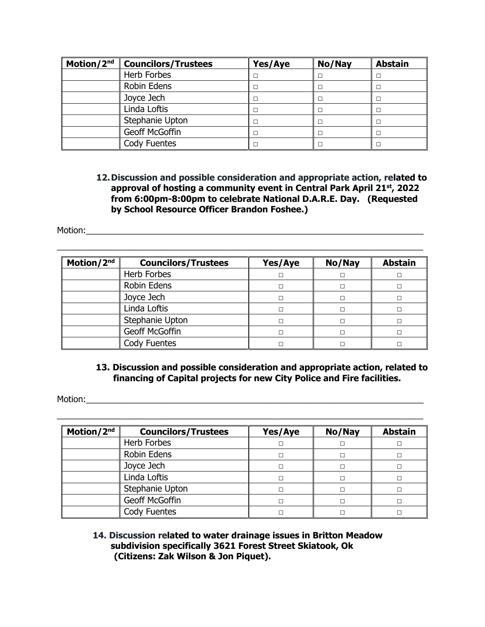| Motion/2nd | <b>Councilors/Trustees</b> | Yes/Aye | No/Nay | <b>Abstain</b> |
|------------|----------------------------|---------|--------|----------------|
|            | Herb Forbes                |         |        |                |
|            | Robin Edens                |         |        |                |
|            | Joyce Jech                 |         |        |                |
|            | Linda Loftis               |         |        |                |
|            | Stephanie Upton            |         |        |                |
|            | Geoff McGoffin             |         |        |                |
|            | Cody Fuentes               |         |        |                |

### **12.Discussion and possible consideration and appropriate action, related to approval of hosting a community event in Central Park April 21st, 2022 from 6:00pm-8:00pm to celebrate National D.A.R.E. Day. (Requested by School Resource Officer Brandon Foshee.)**

Motion:

| Motion/2 <sup>nd</sup> | <b>Councilors/Trustees</b> | Yes/Aye | No/Nay | <b>Abstain</b> |
|------------------------|----------------------------|---------|--------|----------------|
|                        | Herb Forbes                |         |        |                |
|                        | Robin Edens                |         |        |                |
|                        | Joyce Jech                 |         |        |                |
|                        | Linda Loftis               |         |        |                |
|                        | Stephanie Upton            |         |        |                |
|                        | Geoff McGoffin             |         |        |                |
|                        | Cody Fuentes               |         |        |                |

\_\_\_\_\_\_\_\_\_\_\_\_\_\_\_\_\_\_\_\_\_\_\_\_\_\_\_\_\_\_\_\_\_\_\_\_\_\_\_\_\_\_\_\_\_\_\_\_\_\_\_\_\_\_\_\_\_\_\_\_\_\_\_\_\_\_\_\_\_\_\_\_\_\_\_\_\_

### **13. Discussion and possible consideration and appropriate action, related to financing of Capital projects for new City Police and Fire facilities.**

Motion:\_\_\_\_\_\_\_\_\_\_\_\_\_\_\_\_\_\_\_\_\_\_\_\_\_\_\_\_\_\_\_\_\_\_\_\_\_\_\_\_\_\_\_\_\_\_\_\_\_\_\_\_\_\_\_\_\_\_\_\_\_\_\_\_\_\_\_\_\_\_\_

| Motion/2nd | <b>Councilors/Trustees</b> | Yes/Aye | No/Nay | <b>Abstain</b> |
|------------|----------------------------|---------|--------|----------------|
|            | Herb Forbes                |         | П      |                |
|            | Robin Edens                |         |        |                |
|            | Joyce Jech                 |         | П      |                |
|            | Linda Loftis               |         |        |                |
|            | Stephanie Upton            |         |        |                |
|            | Geoff McGoffin             |         |        |                |
|            | Cody Fuentes               |         |        |                |

\_\_\_\_\_\_\_\_\_\_\_\_\_\_\_\_\_\_\_\_\_\_\_\_\_\_\_\_\_\_\_\_\_\_\_\_\_\_\_\_\_\_\_\_\_\_\_\_\_\_\_\_\_\_\_\_\_\_\_\_\_\_\_\_\_\_\_\_\_\_\_\_\_\_\_\_\_

## **14. Discussion related to water drainage issues in Britton Meadow subdivision specifically 3621 Forest Street Skiatook, Ok (Citizens: Zak Wilson & Jon Piquet).**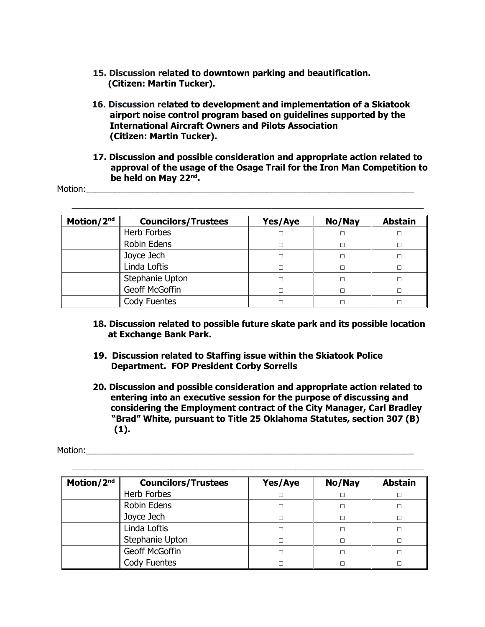- **15. Discussion related to downtown parking and beautification. (Citizen: Martin Tucker).**
- **16. Discussion related to development and implementation of a Skiatook airport noise control program based on guidelines supported by the International Aircraft Owners and Pilots Association (Citizen: Martin Tucker).**
- **17. Discussion and possible consideration and appropriate action related to approval of the usage of the Osage Trail for the Iron Man Competition to be held on May 22nd .**

Motion:\_\_\_\_\_\_\_\_\_\_\_\_\_\_\_\_\_\_\_\_\_\_\_\_\_\_\_\_\_\_\_\_\_\_\_\_\_\_\_\_\_\_\_\_\_\_\_\_\_\_\_\_\_\_\_\_\_\_\_\_\_\_\_\_\_\_\_\_\_

| Motion/2 <sup>nd</sup> | <b>Councilors/Trustees</b> | Yes/Aye | No/Nay | <b>Abstain</b> |
|------------------------|----------------------------|---------|--------|----------------|
|                        | Herb Forbes                |         |        |                |
|                        | Robin Edens                |         | п      |                |
|                        | Joyce Jech                 |         |        |                |
|                        | Linda Loftis               |         | п      |                |
|                        | Stephanie Upton            |         |        |                |
|                        | Geoff McGoffin             |         |        |                |
|                        | Cody Fuentes               |         |        |                |

 $\_$  , and the set of the set of the set of the set of the set of the set of the set of the set of the set of the set of the set of the set of the set of the set of the set of the set of the set of the set of the set of th

- **18. Discussion related to possible future skate park and its possible location at Exchange Bank Park.**
- **19. Discussion related to Staffing issue within the Skiatook Police Department. FOP President Corby Sorrells**
- **20. Discussion and possible consideration and appropriate action related to entering into an executive session for the purpose of discussing and considering the Employment contract of the City Manager, Carl Bradley "Brad" White, pursuant to Title 25 Oklahoma Statutes, section 307 (B) (1).**

Motion:

| Motion/2nd | <b>Councilors/Trustees</b> | Yes/Aye | No/Nay | <b>Abstain</b> |
|------------|----------------------------|---------|--------|----------------|
|            | Herb Forbes                |         |        |                |
|            | Robin Edens                |         |        |                |
|            | Joyce Jech                 |         |        |                |
|            | Linda Loftis               |         |        |                |
|            | Stephanie Upton            |         |        |                |
|            | Geoff McGoffin             |         |        |                |
|            | Cody Fuentes               |         |        |                |

\_\_\_\_\_\_\_\_\_\_\_\_\_\_\_\_\_\_\_\_\_\_\_\_\_\_\_\_\_\_\_\_\_\_\_\_\_\_\_\_\_\_\_\_\_\_\_\_\_\_\_\_\_\_\_\_\_\_\_\_\_\_\_\_\_\_\_\_\_\_\_\_\_\_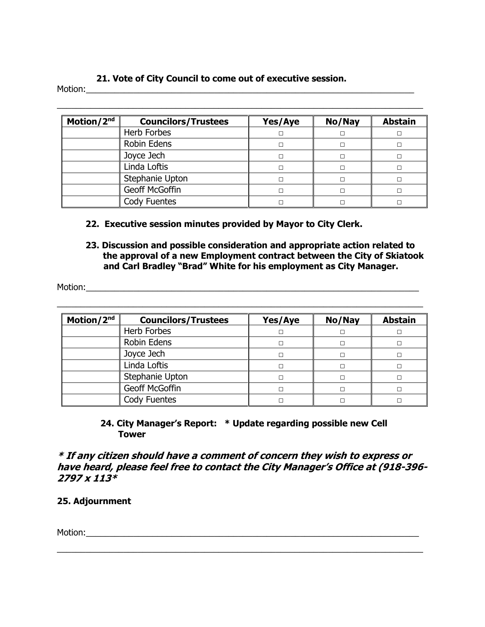## **21. Vote of City Council to come out of executive session.**

Motion:

| Motion/2nd | <b>Councilors/Trustees</b> | Yes/Aye | No/Nay | <b>Abstain</b> |
|------------|----------------------------|---------|--------|----------------|
|            | <b>Herb Forbes</b>         |         |        |                |
|            | <b>Robin Edens</b>         |         |        |                |
|            | Joyce Jech                 |         |        |                |
|            | Linda Loftis               |         |        |                |
|            | Stephanie Upton            |         |        |                |
|            | Geoff McGoffin             |         |        |                |
|            | Cody Fuentes               |         |        |                |

 $\_$  , and the set of the set of the set of the set of the set of the set of the set of the set of the set of the set of the set of the set of the set of the set of the set of the set of the set of the set of the set of th

- **22. Executive session minutes provided by Mayor to City Clerk.**
- **23. Discussion and possible consideration and appropriate action related to the approval of a new Employment contract between the City of Skiatook and Carl Bradley "Brad" White for his employment as City Manager.**

Motion:\_\_\_\_\_\_\_\_\_\_\_\_\_\_\_\_\_\_\_\_\_\_\_\_\_\_\_\_\_\_\_\_\_\_\_\_\_\_\_\_\_\_\_\_\_\_\_\_\_\_\_\_\_\_\_\_\_\_\_\_\_\_\_\_\_\_\_\_\_\_

| Motion/2nd | <b>Councilors/Trustees</b> | Yes/Aye | No/Nay | <b>Abstain</b> |
|------------|----------------------------|---------|--------|----------------|
|            | Herb Forbes                |         |        |                |
|            | Robin Edens                |         |        |                |
|            | Joyce Jech                 |         |        |                |
|            | Linda Loftis               |         |        |                |
|            | Stephanie Upton            |         |        |                |
|            | Geoff McGoffin             |         |        |                |
|            | Cody Fuentes               |         |        |                |

\_\_\_\_\_\_\_\_\_\_\_\_\_\_\_\_\_\_\_\_\_\_\_\_\_\_\_\_\_\_\_\_\_\_\_\_\_\_\_\_\_\_\_\_\_\_\_\_\_\_\_\_\_\_\_\_\_\_\_\_\_\_\_\_\_\_\_\_\_\_\_\_\_\_\_\_\_

## **24. City Manager's Report: \* Update regarding possible new Cell Tower**

**\* If any citizen should have a comment of concern they wish to express or have heard, please feel free to contact the City Manager's Office at (918-396- 2797 x 113\***

\_\_\_\_\_\_\_\_\_\_\_\_\_\_\_\_\_\_\_\_\_\_\_\_\_\_\_\_\_\_\_\_\_\_\_\_\_\_\_\_\_\_\_\_\_\_\_\_\_\_\_\_\_\_\_\_\_\_\_\_\_\_\_\_\_\_\_\_\_\_\_\_\_\_\_\_\_

**25. Adjournment**

Motion:\_\_\_\_\_\_\_\_\_\_\_\_\_\_\_\_\_\_\_\_\_\_\_\_\_\_\_\_\_\_\_\_\_\_\_\_\_\_\_\_\_\_\_\_\_\_\_\_\_\_\_\_\_\_\_\_\_\_\_\_\_\_\_\_\_\_\_\_\_\_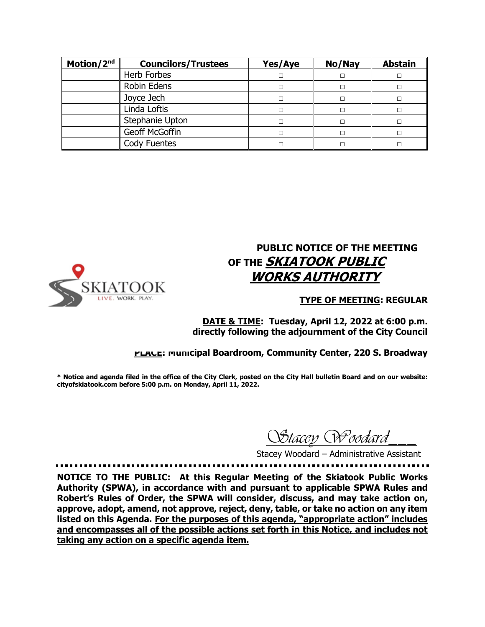| Motion/2nd | <b>Councilors/Trustees</b> | Yes/Aye | No/Nay | <b>Abstain</b> |
|------------|----------------------------|---------|--------|----------------|
|            | Herb Forbes                |         |        |                |
|            | Robin Edens                |         |        |                |
|            | Joyce Jech                 |         |        |                |
|            | Linda Loftis               |         |        |                |
|            | Stephanie Upton            |         |        |                |
|            | Geoff McGoffin             |         |        |                |
|            | Cody Fuentes               |         |        |                |



# **PUBLIC NOTICE OF THE MEETING OF THE SKIATOOK PUBLIC WORKS AUTHORITY**

#### **TYPE OF MEETING: REGULAR**

**DATE & TIME: Tuesday, April 12, 2022 at 6:00 p.m. directly following the adjournment of the City Council**

#### **PLACE: Municipal Boardroom, Community Center, 220 S. Broadway**

**\* Notice and agenda filed in the office of the City Clerk, posted on the City Hall bulletin Board and on our website: cityofskiatook.com before 5:00 p.m. on Monday, April 11, 2022.**

 *Stacey Woodard\_\_\_*

Stacey Woodard – Administrative Assistant

**NOTICE TO THE PUBLIC: At this Regular Meeting of the Skiatook Public Works Authority (SPWA), in accordance with and pursuant to applicable SPWA Rules and Robert's Rules of Order, the SPWA will consider, discuss, and may take action on, approve, adopt, amend, not approve, reject, deny, table, or take no action on any item listed on this Agenda. For the purposes of this agenda, "appropriate action" includes and encompasses all of the possible actions set forth in this Notice, and includes not taking any action on a specific agenda item.**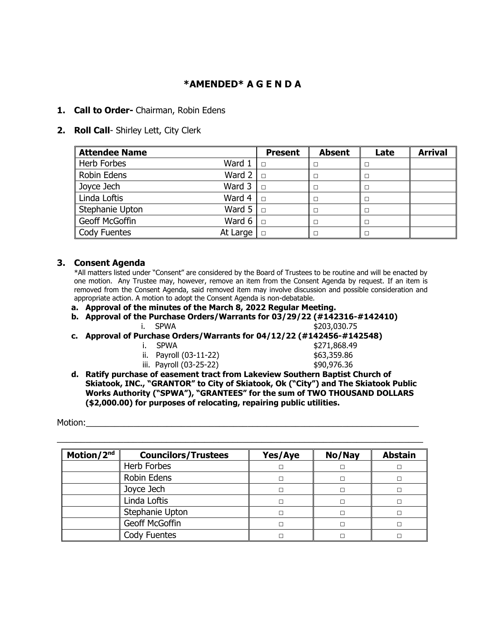## **\*AMENDED\* A G E N D A**

#### **1. Call to Order-** Chairman, Robin Edens

#### **2. Roll Call**- Shirley Lett, City Clerk

| <b>Attendee Name</b> |                           | <b>Present</b> | <b>Absent</b> | Late | <b>Arrival</b> |
|----------------------|---------------------------|----------------|---------------|------|----------------|
| <b>Herb Forbes</b>   | Ward $1 \parallel \Box$   |                |               | П    |                |
| <b>Robin Edens</b>   | Ward $2 \parallel$ $\Box$ |                |               | Е    |                |
| Joyce Jech           | Ward $3 \parallel$ $\Box$ |                |               | г    |                |
| Linda Loftis         | Ward 4 $\ $ $\Box$        |                |               | С    |                |
| Stephanie Upton      | Ward $5 \Box$             |                | п             | П    |                |
| Geoff McGoffin       | Ward 6 $\Box$             |                |               | П    |                |
| <b>Cody Fuentes</b>  | At Large                  |                |               | г    |                |

#### **3. Consent Agenda**

\*All matters listed under "Consent" are considered by the Board of Trustees to be routine and will be enacted by one motion. Any Trustee may, however, remove an item from the Consent Agenda by request. If an item is removed from the Consent Agenda, said removed item may involve discussion and possible consideration and appropriate action. A motion to adopt the Consent Agenda is non-debatable.

- **a. Approval of the minutes of the March 8, 2022 Regular Meeting.**
- **b. Approval of the Purchase Orders/Warrants for 03/29/22 (#142316-#142410)** i. SPWA \$203,030.75
- **c. Approval of Purchase Orders/Warrants for 04/12/22 (#142456-#142548)**
	- i. SPWA \$271,868.49 ii. Payroll (03-11-22) \$63,359.86 iii. Payroll (03-25-22) \$90,976.36
- **d. Ratify purchase of easement tract from Lakeview Southern Baptist Church of Skiatook, INC., "GRANTOR" to City of Skiatook, Ok ("City") and The Skiatook Public Works Authority ("SPWA"), "GRANTEES" for the sum of TWO THOUSAND DOLLARS (\$2,000.00) for purposes of relocating, repairing public utilities.**

Motion:

| Motion/2nd | <b>Councilors/Trustees</b> | Yes/Aye | No/Nay | <b>Abstain</b> |
|------------|----------------------------|---------|--------|----------------|
|            | Herb Forbes                |         |        |                |
|            | Robin Edens                |         |        |                |
|            | Joyce Jech                 |         | П      |                |
|            | Linda Loftis               |         | п      |                |
|            | Stephanie Upton            |         | п      |                |
|            | Geoff McGoffin             |         |        |                |
|            | Cody Fuentes               |         |        |                |

\_\_\_\_\_\_\_\_\_\_\_\_\_\_\_\_\_\_\_\_\_\_\_\_\_\_\_\_\_\_\_\_\_\_\_\_\_\_\_\_\_\_\_\_\_\_\_\_\_\_\_\_\_\_\_\_\_\_\_\_\_\_\_\_\_\_\_\_\_\_\_\_\_\_\_\_\_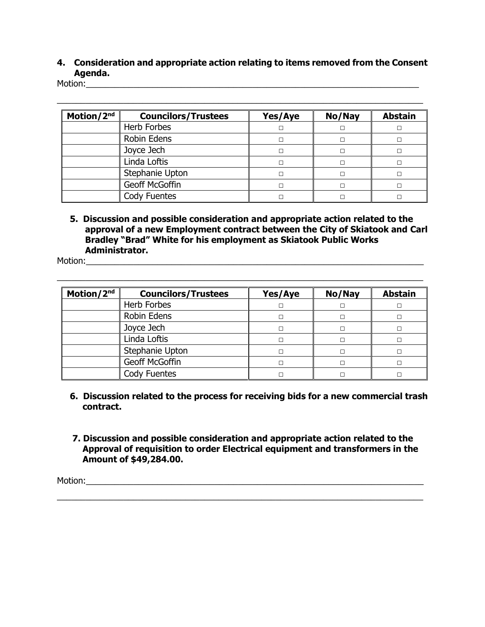## **4. Consideration and appropriate action relating to items removed from the Consent Agenda.**

 $\_$  , and the set of the set of the set of the set of the set of the set of the set of the set of the set of the set of the set of the set of the set of the set of the set of the set of the set of the set of the set of th

Motion:\_\_\_\_\_\_\_\_\_\_\_\_\_\_\_\_\_\_\_\_\_\_\_\_\_\_\_\_\_\_\_\_\_\_\_\_\_\_\_\_\_\_\_\_\_\_\_\_\_\_\_\_\_\_\_\_\_\_\_\_\_\_\_\_\_\_\_\_\_\_

| Motion/2nd | <b>Councilors/Trustees</b> | Yes/Aye | No/Nay | <b>Abstain</b> |
|------------|----------------------------|---------|--------|----------------|
|            | Herb Forbes                |         |        |                |
|            | Robin Edens                |         |        |                |
|            | Joyce Jech                 |         | п      |                |
|            | Linda Loftis               |         |        |                |
|            | Stephanie Upton            |         |        |                |
|            | Geoff McGoffin             |         |        |                |
|            | Cody Fuentes               |         |        |                |

 **5. Discussion and possible consideration and appropriate action related to the approval of a new Employment contract between the City of Skiatook and Carl Bradley "Brad" White for his employment as Skiatook Public Works Administrator.**

Motion:\_\_\_\_\_\_\_\_\_\_\_\_\_\_\_\_\_\_\_\_\_\_\_\_\_\_\_\_\_\_\_\_\_\_\_\_\_\_\_\_\_\_\_\_\_\_\_\_\_\_\_\_\_\_\_\_\_\_\_\_\_\_\_\_\_\_\_\_\_\_\_

| Motion/2nd | <b>Councilors/Trustees</b> | Yes/Aye | No/Nay | <b>Abstain</b> |
|------------|----------------------------|---------|--------|----------------|
|            | Herb Forbes                |         |        |                |
|            | Robin Edens                |         |        |                |
|            | Joyce Jech                 |         |        |                |
|            | Linda Loftis               |         |        |                |
|            | Stephanie Upton            |         |        |                |
|            | Geoff McGoffin             |         |        |                |
|            | Cody Fuentes               |         |        |                |

\_\_\_\_\_\_\_\_\_\_\_\_\_\_\_\_\_\_\_\_\_\_\_\_\_\_\_\_\_\_\_\_\_\_\_\_\_\_\_\_\_\_\_\_\_\_\_\_\_\_\_\_\_\_\_\_\_\_\_\_\_\_\_\_\_\_\_\_\_\_\_\_\_\_\_\_\_

- **6. Discussion related to the process for receiving bids for a new commercial trash contract.**
- **7. Discussion and possible consideration and appropriate action related to the Approval of requisition to order Electrical equipment and transformers in the Amount of \$49,284.00.**

\_\_\_\_\_\_\_\_\_\_\_\_\_\_\_\_\_\_\_\_\_\_\_\_\_\_\_\_\_\_\_\_\_\_\_\_\_\_\_\_\_\_\_\_\_\_\_\_\_\_\_\_\_\_\_\_\_\_\_\_\_\_\_\_\_\_\_\_\_\_\_\_\_\_\_\_\_

Motion:\_\_\_\_\_\_\_\_\_\_\_\_\_\_\_\_\_\_\_\_\_\_\_\_\_\_\_\_\_\_\_\_\_\_\_\_\_\_\_\_\_\_\_\_\_\_\_\_\_\_\_\_\_\_\_\_\_\_\_\_\_\_\_\_\_\_\_\_\_\_\_